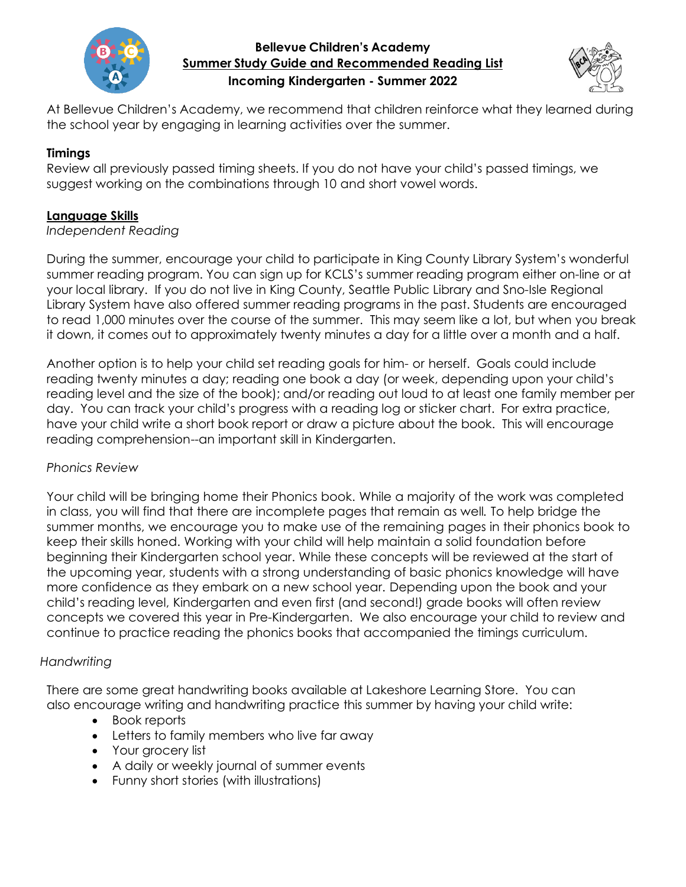

## **Bellevue Children's Academy Summer Study Guide and Recommended Reading List Incoming Kindergarten - Summer 2022**



At Bellevue Children's Academy, we recommend that children reinforce what they learned during the school year by engaging in learning activities over the summer.

# **Timings**

Review all previously passed timing sheets. If you do not have your child's passed timings, we suggest working on the combinations through 10 and short vowel words.

# **Language Skills**

### *Independent Reading*

During the summer, encourage your child to participate in King County Library System's wonderful summer reading program. You can sign up for KCLS's summer reading program either on-line or at your local library. If you do not live in King County, Seattle Public Library and Sno-Isle Regional Library System have also offered summer reading programs in the past. Students are encouraged to read 1,000 minutes over the course of the summer. This may seem like a lot, but when you break it down, it comes out to approximately twenty minutes a day for a little over a month and a half.

Another option is to help your child set reading goals for him- or herself. Goals could include reading twenty minutes a day; reading one book a day (or week, depending upon your child's reading level and the size of the book); and/or reading out loud to at least one family member per day. You can track your child's progress with a reading log or sticker chart. For extra practice, have your child write a short book report or draw a picture about the book. This will encourage reading comprehension--an important skill in Kindergarten.

## *Phonics Review*

Your child will be bringing home their Phonics book. While a majority of the work was completed in class, you will find that there are incomplete pages that remain as well*.* To help bridge the summer months, we encourage you to make use of the remaining pages in their phonics book to keep their skills honed. Working with your child will help maintain a solid foundation before beginning their Kindergarten school year. While these concepts will be reviewed at the start of the upcoming year, students with a strong understanding of basic phonics knowledge will have more confidence as they embark on a new school year. Depending upon the book and your child's reading level, Kindergarten and even first (and second!) grade books will often review concepts we covered this year in Pre-Kindergarten. We also encourage your child to review and continue to practice reading the phonics books that accompanied the timings curriculum.

## *Handwriting*

There are some great handwriting books available at Lakeshore Learning Store. You can also encourage writing and handwriting practice this summer by having your child write:

- Book reports
- Letters to family members who live far away
- Your grocery list
- A daily or weekly journal of summer events
- Funny short stories (with illustrations)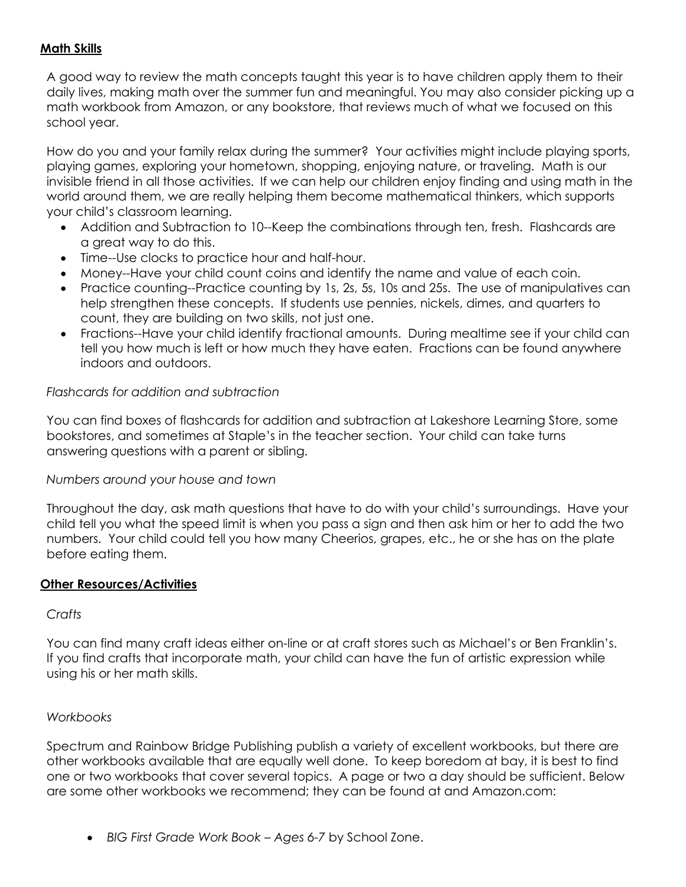## **Math Skills**

A good way to review the math concepts taught this year is to have children apply them to their daily lives, making math over the summer fun and meaningful. You may also consider picking up a math workbook from Amazon, or any bookstore, that reviews much of what we focused on this school year.

How do you and your family relax during the summer? Your activities might include playing sports, playing games, exploring your hometown, shopping, enjoying nature, or traveling. Math is our invisible friend in all those activities. If we can help our children enjoy finding and using math in the world around them, we are really helping them become mathematical thinkers, which supports your child's classroom learning.

- Addition and Subtraction to 10--Keep the combinations through ten, fresh. Flashcards are a great way to do this.
- Time--Use clocks to practice hour and half-hour.
- Money--Have your child count coins and identify the name and value of each coin.
- Practice counting--Practice counting by 1s, 2s, 5s, 10s and 25s. The use of manipulatives can help strengthen these concepts. If students use pennies, nickels, dimes, and quarters to count, they are building on two skills, not just one.
- Fractions--Have your child identify fractional amounts. During mealtime see if your child can tell you how much is left or how much they have eaten. Fractions can be found anywhere indoors and outdoors.

## *Flashcards for addition and subtraction*

You can find boxes of flashcards for addition and subtraction at Lakeshore Learning Store, some bookstores, and sometimes at Staple's in the teacher section. Your child can take turns answering questions with a parent or sibling.

## *Numbers around your house and town*

Throughout the day, ask math questions that have to do with your child's surroundings. Have your child tell you what the speed limit is when you pass a sign and then ask him or her to add the two numbers. Your child could tell you how many Cheerios, grapes, etc., he or she has on the plate before eating them.

#### **Other Resources/Activities**

#### *Crafts*

You can find many craft ideas either on-line or at craft stores such as Michael's or Ben Franklin's. If you find crafts that incorporate math, your child can have the fun of artistic expression while using his or her math skills.

## *Workbooks*

Spectrum and Rainbow Bridge Publishing publish a variety of excellent workbooks, but there are other workbooks available that are equally well done. To keep boredom at bay, it is best to find one or two workbooks that cover several topics. A page or two a day should be sufficient. Below are some other workbooks we recommend; they can be found at and Amazon.com:

• *BIG First Grade Work Book – Ages 6-7* by School Zone.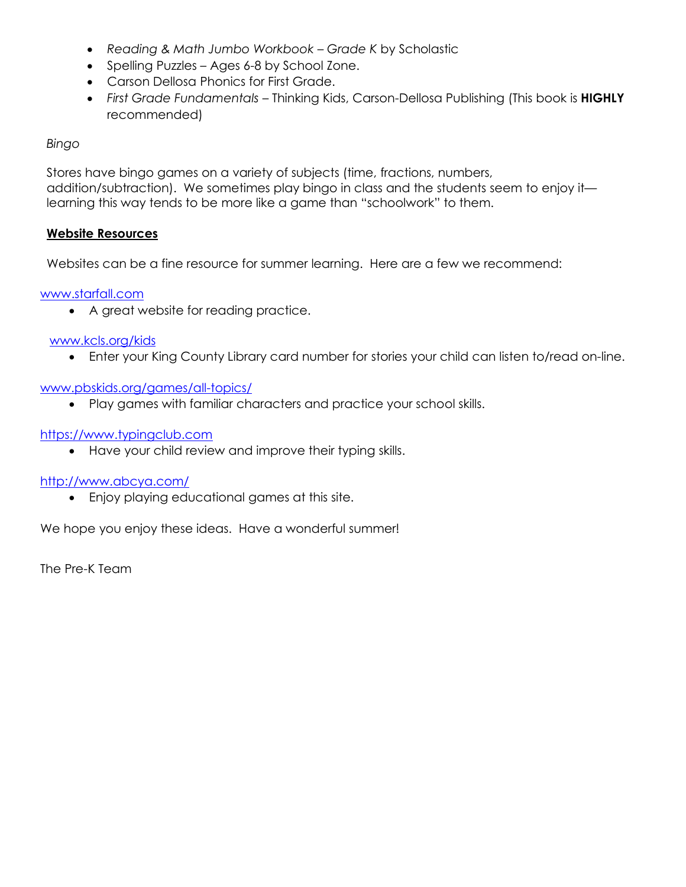- *Reading & Math Jumbo Workbook – Grade K* by Scholastic
- Spelling Puzzles Ages 6-8 by School Zone.
- Carson Dellosa Phonics for First Grade.
- *First Grade Fundamentals –* Thinking Kids, Carson-Dellosa Publishing (This book is **HIGHLY** recommended)

### *Bingo*

Stores have bingo games on a variety of subjects (time, fractions, numbers, addition/subtraction). We sometimes play bingo in class and the students seem to enjoy it learning this way tends to be more like a game than "schoolwork" to them.

#### **Website Resources**

Websites can be a fine resource for summer learning. Here are a few we recommend:

## [www.starfall.com](http://www.starfall.com/)

• A great website for reading practice.

#### [www.kcls.org/kids](http://www.kcls.org/kids)

• Enter your King County Library card number for stories your child can listen to/read on-line.

### [www.pbskids.org/games/all-topics/](http://www.pbskids.org/games/all-topics/)

• Play games with familiar characters and practice your school skills.

### [https://www.typingclub.com](https://www.typingclub.com/)

• Have your child review and improve their typing skills.

#### <http://www.abcya.com/>

• Enjoy playing educational games at this site.

We hope you enjoy these ideas. Have a wonderful summer!

The Pre-K Team